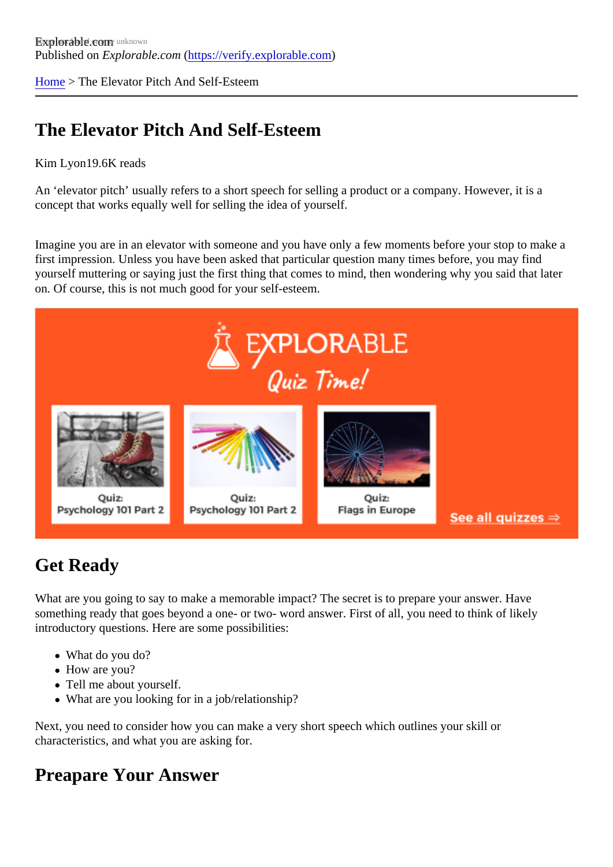[Home](https://verify.explorable.com/)> The Elevator Pitch And Self-Esteem

## The Elevator Pitch And Self-Esteem

#### Kim Lyon19.6K reads

An 'elevator pitch' usually refers to a short speech for selling a product or a company. However, it is a concept that works equally well for selling the idea of yourself.

Imagine you are in an elevator with someone and you have only a few moments before your stop to make first impression. Unless you have been asked that particular question many times before, you may find yourself muttering or saying just the first thing that comes to mind, then wondering why you said that later on. Of course, this is not much good for your self-esteem.

#### Get Ready

What are you going to say to make a memorable impact? The secret is to prepare your answer. Have something ready that goes beyond a one- or two- word answer. First of all, you need to think of likely introductory questions. Here are some possibilities:

- What do you do?
- How are you?
- Tell me about yourself.
- What are you looking for in a job/relationship?

Next, you need to consider how you can make a very short speech which outlines your skill or characteristics, and what you are asking for.

#### Preapare Your Answer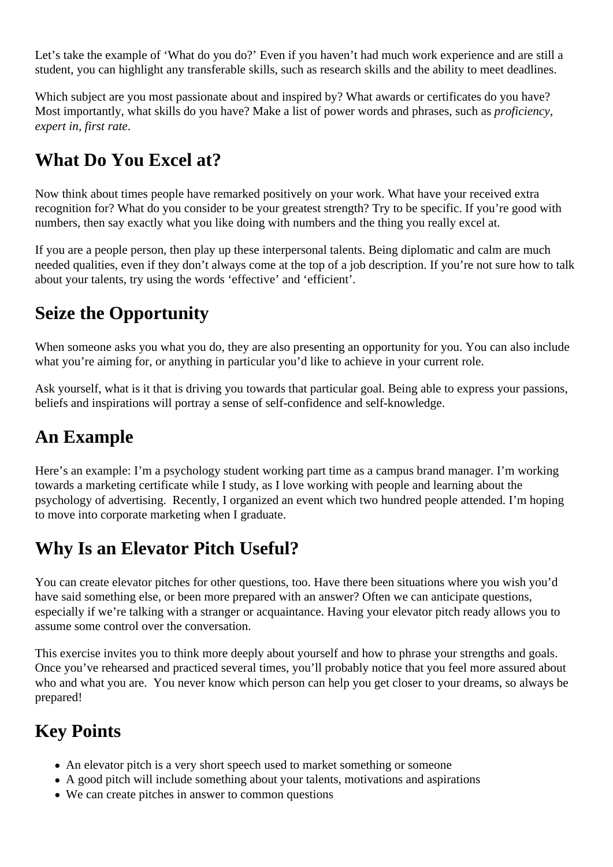Let's take the example of 'What do you do?' Even if you haven't had much work experience and are still a student, you can highlight any transferable skills, such as research skills and the ability to meet deadlines.

Which subject are you most passionate about and inspired by? What awards or certificates do you have? Most importantly, what skills do you have? Make a list of power words and phrases, such as *proficiency, expert in, first rate*.

## **What Do You Excel at?**

Now think about times people have remarked positively on your work. What have your received extra recognition for? What do you consider to be your greatest strength? Try to be specific. If you're good with numbers, then say exactly what you like doing with numbers and the thing you really excel at.

If you are a people person, then play up these interpersonal talents. Being diplomatic and calm are much needed qualities, even if they don't always come at the top of a job description. If you're not sure how to talk about your talents, try using the words 'effective' and 'efficient'.

### **Seize the Opportunity**

When someone asks you what you do, they are also presenting an opportunity for you. You can also include what you're aiming for, or anything in particular you'd like to achieve in your current role.

Ask yourself, what is it that is driving you towards that particular goal. Being able to express your passions, beliefs and inspirations will portray a sense of self-confidence and self-knowledge.

## **An Example**

Here's an example: I'm a psychology student working part time as a campus brand manager. I'm working towards a marketing certificate while I study, as I love working with people and learning about the psychology of advertising. Recently, I organized an event which two hundred people attended. I'm hoping to move into corporate marketing when I graduate.

### **Why Is an Elevator Pitch Useful?**

You can create elevator pitches for other questions, too. Have there been situations where you wish you'd have said something else, or been more prepared with an answer? Often we can anticipate questions, especially if we're talking with a stranger or acquaintance. Having your elevator pitch ready allows you to assume some control over the conversation.

This exercise invites you to think more deeply about yourself and how to phrase your strengths and goals. Once you've rehearsed and practiced several times, you'll probably notice that you feel more assured about who and what you are. You never know which person can help you get closer to your dreams, so always be prepared!

# **Key Points**

- An elevator pitch is a very short speech used to market something or someone
- A good pitch will include something about your talents, motivations and aspirations
- We can create pitches in answer to common questions